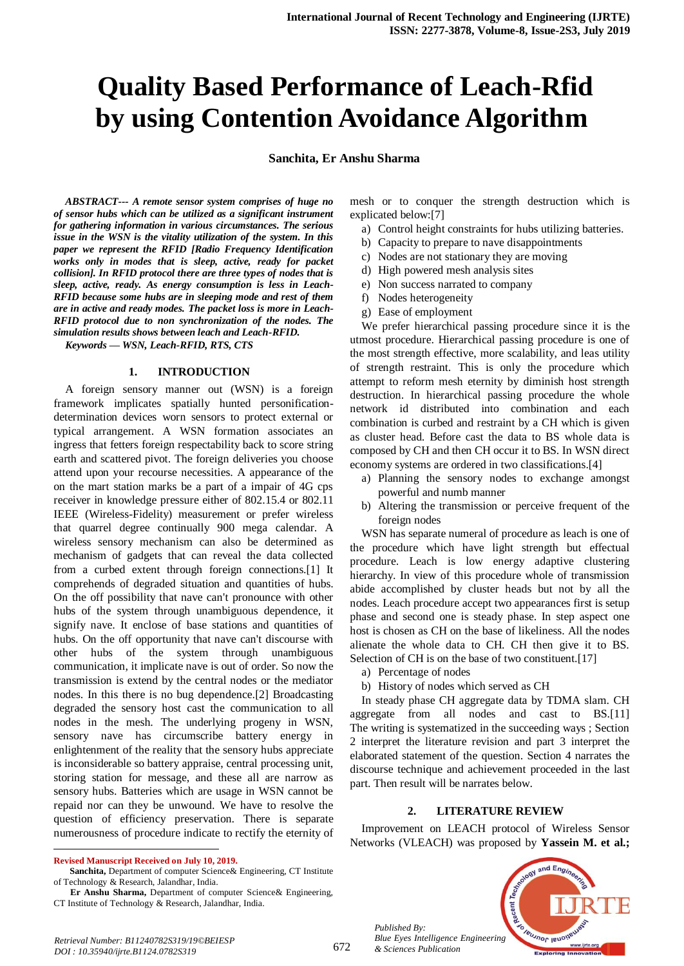# **Quality Based Performance of Leach-Rfid by using Contention Avoidance Algorithm**

**Sanchita, Er Anshu Sharma**

*ABSTRACT--- A remote sensor system comprises of huge no of sensor hubs which can be utilized as a significant instrument for gathering information in various circumstances. The serious issue in the WSN is the vitality utilization of the system. In this paper we represent the RFID [Radio Frequency Identification works only in modes that is sleep, active, ready for packet collision]. In RFID protocol there are three types of nodes that is sleep, active, ready. As energy consumption is less in Leach-RFID because some hubs are in sleeping mode and rest of them are in active and ready modes. The packet loss is more in Leach-RFID protocol due to non synchronization of the nodes. The simulation results shows between leach and Leach-RFID.*

*Keywords — WSN, Leach-RFID, RTS, CTS*

#### **1. INTRODUCTION**

A foreign sensory manner out (WSN) is a foreign framework implicates spatially hunted personificationdetermination devices worn sensors to protect external or typical arrangement. A WSN formation associates an ingress that fetters foreign respectability back to score string earth and scattered pivot. The foreign deliveries you choose attend upon your recourse necessities. A appearance of the on the mart station marks be a part of a impair of 4G cps receiver in knowledge pressure either of 802.15.4 or 802.11 IEEE (Wireless-Fidelity) measurement or prefer wireless that quarrel degree continually 900 mega calendar. A wireless sensory mechanism can also be determined as mechanism of gadgets that can reveal the data collected from a curbed extent through foreign connections.[1] It comprehends of degraded situation and quantities of hubs. On the off possibility that nave can't pronounce with other hubs of the system through unambiguous dependence, it signify nave. It enclose of base stations and quantities of hubs. On the off opportunity that nave can't discourse with other hubs of the system through unambiguous communication, it implicate nave is out of order. So now the transmission is extend by the central nodes or the mediator nodes. In this there is no bug dependence.[2] Broadcasting degraded the sensory host cast the communication to all nodes in the mesh. The underlying progeny in WSN, sensory nave has circumscribe battery energy in enlightenment of the reality that the sensory hubs appreciate is inconsiderable so battery appraise, central processing unit, storing station for message, and these all are narrow as sensory hubs. Batteries which are usage in WSN cannot be repaid nor can they be unwound. We have to resolve the question of efficiency preservation. There is separate numerousness of procedure indicate to rectify the eternity of mesh or to conquer the strength destruction which is explicated below:[7]

- a) Control height constraints for hubs utilizing batteries.
- b) Capacity to prepare to nave disappointments
- c) Nodes are not stationary they are moving
- d) High powered mesh analysis sites
- e) Non success narrated to company
- f) Nodes heterogeneity
- g) Ease of employment

We prefer hierarchical passing procedure since it is the utmost procedure. Hierarchical passing procedure is one of the most strength effective, more scalability, and leas utility of strength restraint. This is only the procedure which attempt to reform mesh eternity by diminish host strength destruction. In hierarchical passing procedure the whole network id distributed into combination and each combination is curbed and restraint by a CH which is given as cluster head. Before cast the data to BS whole data is composed by CH and then CH occur it to BS. In WSN direct economy systems are ordered in two classifications.[4]

- a) Planning the sensory nodes to exchange amongst powerful and numb manner
- b) Altering the transmission or perceive frequent of the foreign nodes

WSN has separate numeral of procedure as leach is one of the procedure which have light strength but effectual procedure. Leach is low energy adaptive clustering hierarchy. In view of this procedure whole of transmission abide accomplished by cluster heads but not by all the nodes. Leach procedure accept two appearances first is setup phase and second one is steady phase. In step aspect one host is chosen as CH on the base of likeliness. All the nodes alienate the whole data to CH. CH then give it to BS. Selection of CH is on the base of two constituent.[17]

- a) Percentage of nodes
- b) History of nodes which served as CH

In steady phase CH aggregate data by TDMA slam. CH aggregate from all nodes and cast to BS.[11] The writing is systematized in the succeeding ways ; Section 2 interpret the literature revision and part 3 interpret the elaborated statement of the question. Section 4 narrates the discourse technique and achievement proceeded in the last part. Then result will be narrates below.

#### **2. LITERATURE REVIEW**

Improvement on LEACH protocol of Wireless Sensor Networks (VLEACH) was proposed by **Yassein M. et al.;** 



*Published By:*

*& Sciences Publication* 

 $\ddot{\phantom{a}}$ **Revised Manuscript Received on July 10, 2019.**

**Sanchita,** Department of computer Science& Engineering, CT Institute of Technology & Research, Jalandhar, India.

**Er Anshu Sharma,** Department of computer Science& Engineering, CT Institute of Technology & Research, Jalandhar, India.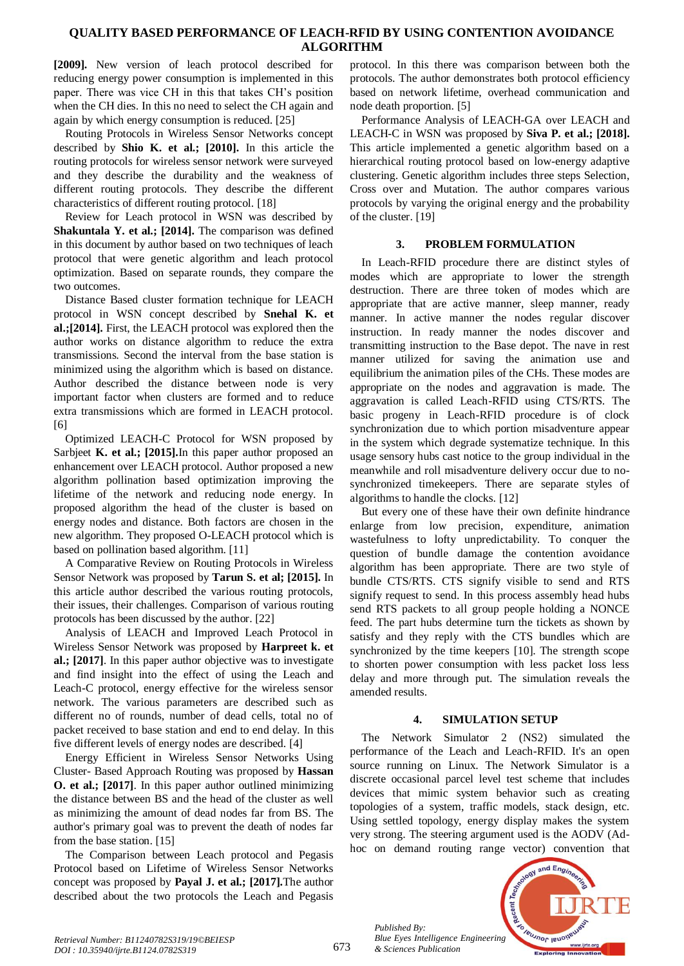## **QUALITY BASED PERFORMANCE OF LEACH-RFID BY USING CONTENTION AVOIDANCE ALGORITHM**

**[2009].** New version of leach protocol described for reducing energy power consumption is implemented in this paper. There was vice CH in this that takes CH's position when the CH dies. In this no need to select the CH again and again by which energy consumption is reduced. [25]

Routing Protocols in Wireless Sensor Networks concept described by **Shio K. et al.; [2010].** In this article the routing protocols for wireless sensor network were surveyed and they describe the durability and the weakness of different routing protocols. They describe the different characteristics of different routing protocol. [18]

Review for Leach protocol in WSN was described by **Shakuntala Y. et al.; [2014].** The comparison was defined in this document by author based on two techniques of leach protocol that were genetic algorithm and leach protocol optimization. Based on separate rounds, they compare the two outcomes.

Distance Based cluster formation technique for LEACH protocol in WSN concept described by **Snehal K. et al.;[2014].** First, the LEACH protocol was explored then the author works on distance algorithm to reduce the extra transmissions. Second the interval from the base station is minimized using the algorithm which is based on distance. Author described the distance between node is very important factor when clusters are formed and to reduce extra transmissions which are formed in LEACH protocol. [6]

Optimized LEACH-C Protocol for WSN proposed by Sarbjeet **K. et al.; [2015].**In this paper author proposed an enhancement over LEACH protocol. Author proposed a new algorithm pollination based optimization improving the lifetime of the network and reducing node energy. In proposed algorithm the head of the cluster is based on energy nodes and distance. Both factors are chosen in the new algorithm. They proposed O-LEACH protocol which is based on pollination based algorithm. [11]

A Comparative Review on Routing Protocols in Wireless Sensor Network was proposed by **Tarun S. et al; [2015].** In this article author described the various routing protocols, their issues, their challenges. Comparison of various routing protocols has been discussed by the author. [22]

Analysis of LEACH and Improved Leach Protocol in Wireless Sensor Network was proposed by **Harpreet k. et al.; [2017]**. In this paper author objective was to investigate and find insight into the effect of using the Leach and Leach-C protocol, energy effective for the wireless sensor network. The various parameters are described such as different no of rounds, number of dead cells, total no of packet received to base station and end to end delay. In this five different levels of energy nodes are described. [4]

Energy Efficient in Wireless Sensor Networks Using Cluster- Based Approach Routing was proposed by **Hassan O. et al.; [2017]**. In this paper author outlined minimizing the distance between BS and the head of the cluster as well as minimizing the amount of dead nodes far from BS. The author's primary goal was to prevent the death of nodes far from the base station. [15]

The Comparison between Leach protocol and Pegasis Protocol based on Lifetime of Wireless Sensor Networks concept was proposed by **Payal J. et al.; [2017].**The author described about the two protocols the Leach and Pegasis

protocol. In this there was comparison between both the protocols. The author demonstrates both protocol efficiency based on network lifetime, overhead communication and node death proportion. [5]

Performance Analysis of LEACH-GA over LEACH and LEACH-C in WSN was proposed by **Siva P. et al.; [2018].** This article implemented a genetic algorithm based on a hierarchical routing protocol based on low-energy adaptive clustering. Genetic algorithm includes three steps Selection, Cross over and Mutation. The author compares various protocols by varying the original energy and the probability of the cluster. [19]

### **3. PROBLEM FORMULATION**

In Leach-RFID procedure there are distinct styles of modes which are appropriate to lower the strength destruction. There are three token of modes which are appropriate that are active manner, sleep manner, ready manner. In active manner the nodes regular discover instruction. In ready manner the nodes discover and transmitting instruction to the Base depot. The nave in rest manner utilized for saving the animation use and equilibrium the animation piles of the CHs. These modes are appropriate on the nodes and aggravation is made. The aggravation is called Leach-RFID using CTS/RTS. The basic progeny in Leach-RFID procedure is of clock synchronization due to which portion misadventure appear in the system which degrade systematize technique. In this usage sensory hubs cast notice to the group individual in the meanwhile and roll misadventure delivery occur due to nosynchronized timekeepers. There are separate styles of algorithms to handle the clocks. [12]

But every one of these have their own definite hindrance enlarge from low precision, expenditure, animation wastefulness to lofty unpredictability. To conquer the question of bundle damage the contention avoidance algorithm has been appropriate. There are two style of bundle CTS/RTS. CTS signify visible to send and RTS signify request to send. In this process assembly head hubs send RTS packets to all group people holding a NONCE feed. The part hubs determine turn the tickets as shown by satisfy and they reply with the CTS bundles which are synchronized by the time keepers [10]. The strength scope to shorten power consumption with less packet loss less delay and more through put. The simulation reveals the amended results.

# **4. SIMULATION SETUP**

The Network Simulator 2 (NS2) simulated the performance of the Leach and Leach-RFID. It's an open source running on Linux. The Network Simulator is a discrete occasional parcel level test scheme that includes devices that mimic system behavior such as creating topologies of a system, traffic models, stack design, etc. Using settled topology, energy display makes the system very strong. The steering argument used is the AODV (Adhoc on demand routing range vector) convention that



*Published By: Blue Eyes Intelligence Engineering & Sciences Publication*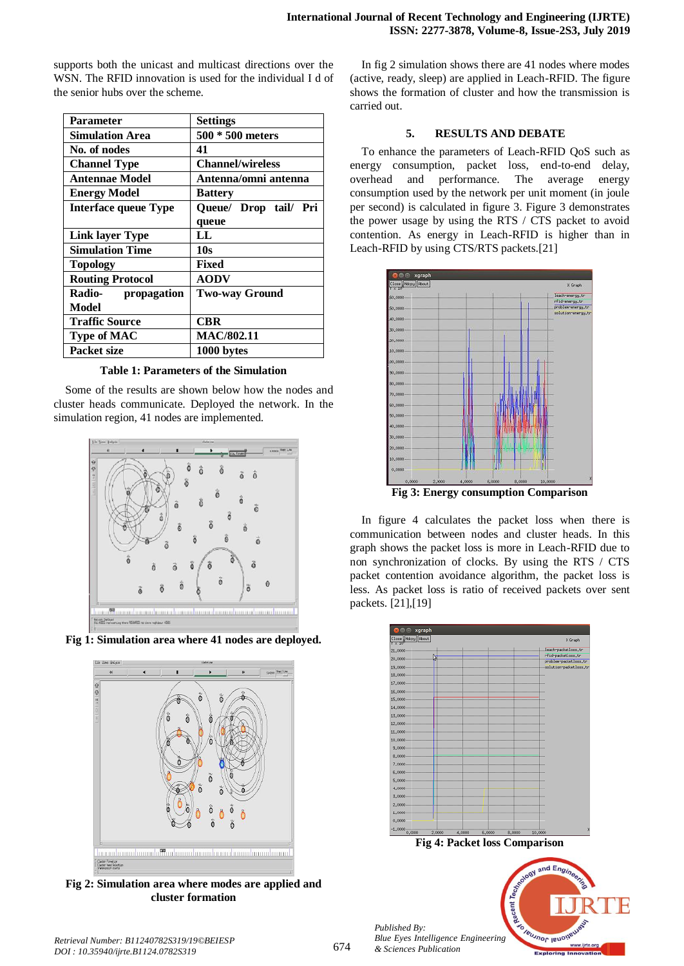supports both the unicast and multicast directions over the WSN. The RFID innovation is used for the individual I d of the senior hubs over the scheme.

| <b>Parameter</b>            | <b>Settings</b>          |  |  |  |
|-----------------------------|--------------------------|--|--|--|
| <b>Simulation Area</b>      | 500 * 500 meters         |  |  |  |
| No. of nodes                | 41                       |  |  |  |
|                             |                          |  |  |  |
| <b>Channel Type</b>         | <b>Channel/wireless</b>  |  |  |  |
| <b>Antennae Model</b>       | Antenna/omni antenna     |  |  |  |
| <b>Energy Model</b>         | <b>Battery</b>           |  |  |  |
| <b>Interface queue Type</b> | Queue/ Drop tail/<br>Pri |  |  |  |
|                             | queue                    |  |  |  |
| <b>Link layer Type</b>      | LL.                      |  |  |  |
| <b>Simulation Time</b>      | 10 <sub>s</sub>          |  |  |  |
| <b>Topology</b>             | Fixed                    |  |  |  |
| <b>Routing Protocol</b>     | <b>AODV</b>              |  |  |  |
| Radio- propagation          | <b>Two-way Ground</b>    |  |  |  |
| Model                       |                          |  |  |  |
| <b>Traffic Source</b>       | <b>CBR</b>               |  |  |  |
| <b>Type of MAC</b>          | <b>MAC/802.11</b>        |  |  |  |
| <b>Packet size</b>          | 1000 bytes               |  |  |  |

**Table 1: Parameters of the Simulation**

Some of the results are shown below how the nodes and cluster heads communicate. Deployed the network. In the simulation region, 41 nodes are implemented.







**Fig 2: Simulation area where modes are applied and cluster formation**

In fig 2 simulation shows there are 41 nodes where modes (active, ready, sleep) are applied in Leach-RFID. The figure shows the formation of cluster and how the transmission is carried out.

#### **5. RESULTS AND DEBATE**

To enhance the parameters of Leach-RFID QoS such as energy consumption, packet loss, end-to-end delay, overhead and performance. The average energy consumption used by the network per unit moment (in joule per second) is calculated in figure 3. Figure 3 demonstrates the power usage by using the RTS / CTS packet to avoid contention. As energy in Leach-RFID is higher than in Leach-RFID by using CTS/RTS packets.[21]



In figure 4 calculates the packet loss when there is communication between nodes and cluster heads. In this graph shows the packet loss is more in Leach-RFID due to non synchronization of clocks. By using the RTS / CTS packet contention avoidance algorithm, the packet loss is less. As packet loss is ratio of received packets over sent packets. [21],[19]



*Retrieval Number: B11240782S319/19©BEIESP DOI : 10.35940/ijrte.B1124.0782S319*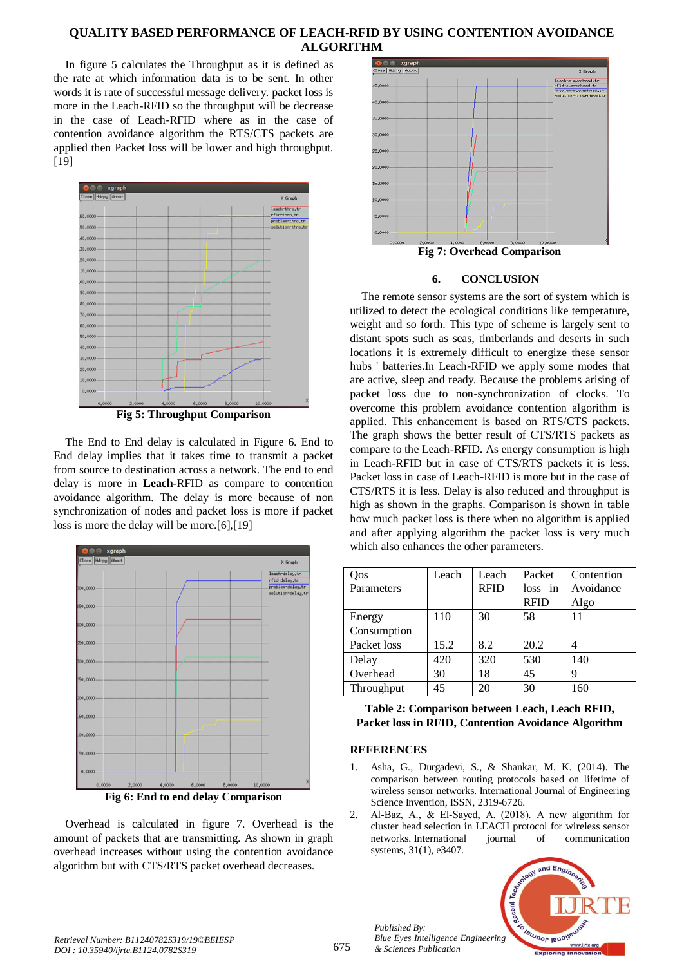# **QUALITY BASED PERFORMANCE OF LEACH-RFID BY USING CONTENTION AVOIDANCE ALGORITHM**

In figure 5 calculates the Throughput as it is defined as the rate at which information data is to be sent. In other words it is rate of successful message delivery. packet loss is more in the Leach-RFID so the throughput will be decrease in the case of Leach-RFID where as in the case of contention avoidance algorithm the RTS/CTS packets are applied then Packet loss will be lower and high throughput. [19]



**Fig 5: Throughput Comparison**

The End to End delay is calculated in Figure 6. End to End delay implies that it takes time to transmit a packet from source to destination across a network. The end to end delay is more in **Leach-**RFID as compare to contention avoidance algorithm. The delay is more because of non synchronization of nodes and packet loss is more if packet loss is more the delay will be more.[6],[19]



**Fig 6: End to end delay Comparison**

Overhead is calculated in figure 7. Overhead is the amount of packets that are transmitting. As shown in graph overhead increases without using the contention avoidance algorithm but with CTS/RTS packet overhead decreases.



# **Fig 7: Overhead Comparison**

#### **6. CONCLUSION**

The remote sensor systems are the sort of system which is utilized to detect the ecological conditions like temperature, weight and so forth. This type of scheme is largely sent to distant spots such as seas, timberlands and deserts in such locations it is extremely difficult to energize these sensor hubs ' batteries.In Leach-RFID we apply some modes that are active, sleep and ready. Because the problems arising of packet loss due to non-synchronization of clocks. To overcome this problem avoidance contention algorithm is applied. This enhancement is based on RTS/CTS packets. The graph shows the better result of CTS/RTS packets as compare to the Leach-RFID. As energy consumption is high in Leach-RFID but in case of CTS/RTS packets it is less. Packet loss in case of Leach-RFID is more but in the case of CTS/RTS it is less. Delay is also reduced and throughput is high as shown in the graphs. Comparison is shown in table how much packet loss is there when no algorithm is applied and after applying algorithm the packet loss is very much which also enhances the other parameters.

| Oos         | Leach | Leach       | Packet      | Contention |
|-------------|-------|-------------|-------------|------------|
| Parameters  |       | <b>RFID</b> | loss in     | Avoidance  |
|             |       |             | <b>RFID</b> | Algo       |
| Energy      | 110   | 30          | 58          | 11         |
| Consumption |       |             |             |            |
| Packet loss | 15.2  | 8.2         | 20.2        |            |
| Delay       | 420   | 320         | 530         | 140        |
| Overhead    | 30    | 18          | 45          | q          |
| Throughput  | 45    | 20          | 30          | 160        |

#### **Table 2: Comparison between Leach, Leach RFID, Packet loss in RFID, Contention Avoidance Algorithm**

#### **REFERENCES**

*Published By:*

*& Sciences Publication* 

- 1. Asha, G., Durgadevi, S., & Shankar, M. K. (2014). The comparison between routing protocols based on lifetime of wireless sensor networks. International Journal of Engineering Science Invention, ISSN, 2319-6726.
- 2. Al‐Baz, A., & El‐Sayed, A. (2018). A new algorithm for cluster head selection in LEACH protocol for wireless sensor networks. International journal of communication systems, 31(1), e3407.